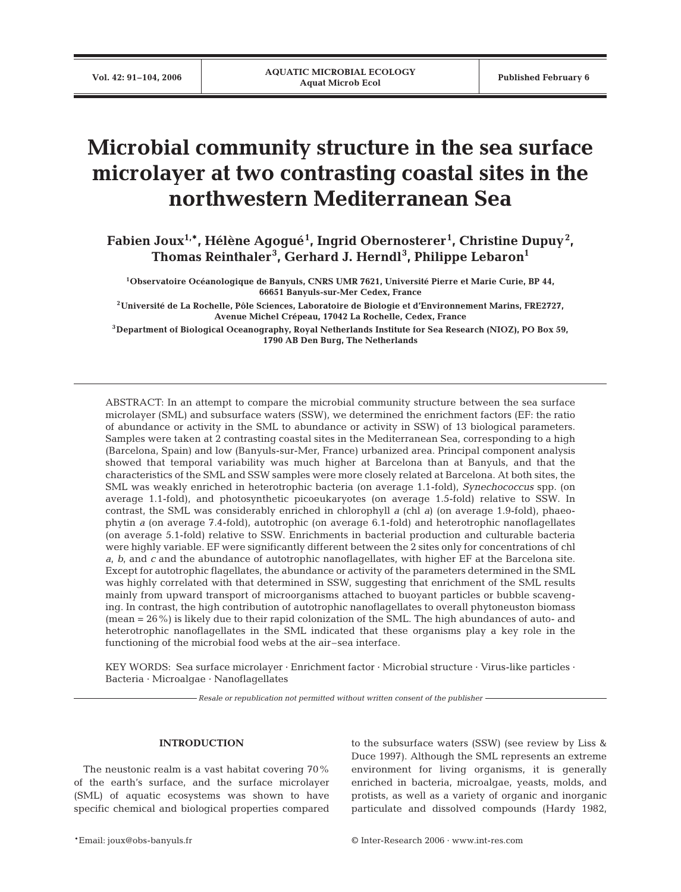# **Microbial community structure in the sea surface microlayer at two contrasting coastal sites in the northwestern Mediterranean Sea**

**Fabien Joux1,\*, Hélène Agogué1 , Ingrid Obernosterer<sup>1</sup> , Christine Dupuy<sup>2</sup> , Thomas Reinthaler<sup>3</sup> , Gerhard J. Herndl<sup>3</sup> , Philippe Lebaron1**

**1Observatoire Océanologique de Banyuls, CNRS UMR 7621, Université Pierre et Marie Curie, BP 44, 66651 Banyuls-sur-Mer Cedex, France**

**2Université de La Rochelle, Pôle Sciences, Laboratoire de Biologie et d'Environnement Marins, FRE2727, Avenue Michel Crépeau, 17042 La Rochelle, Cedex, France**

**3Department of Biological Oceanography, Royal Netherlands Institute for Sea Research (NIOZ), PO Box 59, 1790 AB Den Burg, The Netherlands**

ABSTRACT: In an attempt to compare the microbial community structure between the sea surface microlayer (SML) and subsurface waters (SSW), we determined the enrichment factors (EF: the ratio of abundance or activity in the SML to abundance or activity in SSW) of 13 biological parameters. Samples were taken at 2 contrasting coastal sites in the Mediterranean Sea, corresponding to a high (Barcelona, Spain) and low (Banyuls-sur-Mer, France) urbanized area. Principal component analysis showed that temporal variability was much higher at Barcelona than at Banyuls, and that the characteristics of the SML and SSW samples were more closely related at Barcelona. At both sites, the SML was weakly enriched in heterotrophic bacteria (on average 1.1-fold), *Synechococcus* spp. (on average 1.1-fold), and photosynthetic picoeukaryotes (on average 1.5-fold) relative to SSW. In contrast, the SML was considerably enriched in chlorophyll *a* (chl *a*) (on average 1.9-fold), phaeophytin *a* (on average 7.4-fold), autotrophic (on average 6.1-fold) and heterotrophic nanoflagellates (on average 5.1-fold) relative to SSW. Enrichments in bacterial production and culturable bacteria were highly variable. EF were significantly different between the 2 sites only for concentrations of chl *a*, *b*, and *c* and the abundance of autotrophic nanoflagellates, with higher EF at the Barcelona site. Except for autotrophic flagellates, the abundance or activity of the parameters determined in the SML was highly correlated with that determined in SSW, suggesting that enrichment of the SML results mainly from upward transport of microorganisms attached to buoyant particles or bubble scavenging. In contrast, the high contribution of autotrophic nanoflagellates to overall phytoneuston biomass (mean = 26%) is likely due to their rapid colonization of the SML. The high abundances of auto- and heterotrophic nanoflagellates in the SML indicated that these organisms play a key role in the functioning of the microbial food webs at the air–sea interface.

KEY WORDS: Sea surface microlayer · Enrichment factor · Microbial structure · Virus-like particles · Bacteria · Microalgae · Nanoflagellates

*Resale or republication not permitted without written consent of the publisher*

# **INTRODUCTION**

The neustonic realm is a vast habitat covering 70% of the earth's surface, and the surface microlayer (SML) of aquatic ecosystems was shown to have specific chemical and biological properties compared to the subsurface waters (SSW) (see review by Liss & Duce 1997). Although the SML represents an extreme environment for living organisms, it is generally enriched in bacteria, microalgae, yeasts, molds, and protists, as well as a variety of organic and inorganic particulate and dissolved compounds (Hardy 1982,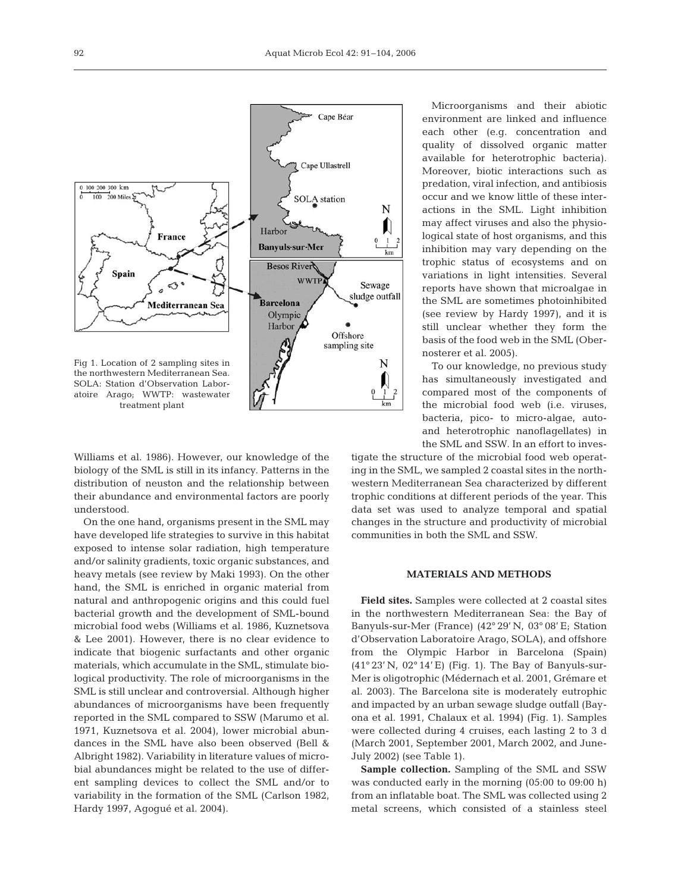

Williams et al. 1986). However, our knowledge of the biology of the SML is still in its infancy. Patterns in the distribution of neuston and the relationship between their abundance and environmental factors are poorly understood.

On the one hand, organisms present in the SML may have developed life strategies to survive in this habitat exposed to intense solar radiation, high temperature and/or salinity gradients, toxic organic substances, and heavy metals (see review by Maki 1993). On the other hand, the SML is enriched in organic material from natural and anthropogenic origins and this could fuel bacterial growth and the development of SML-bound microbial food webs (Williams et al. 1986, Kuznetsova & Lee 2001). However, there is no clear evidence to indicate that biogenic surfactants and other organic materials, which accumulate in the SML, stimulate biological productivity. The role of microorganisms in the SML is still unclear and controversial. Although higher abundances of microorganisms have been frequently reported in the SML compared to SSW (Marumo et al. 1971, Kuznetsova et al. 2004), lower microbial abundances in the SML have also been observed (Bell & Albright 1982). Variability in literature values of microbial abundances might be related to the use of different sampling devices to collect the SML and/or to variability in the formation of the SML (Carlson 1982, Hardy 1997, Agogué et al. 2004).

Microorganisms and their abiotic environment are linked and influence each other (e.g. concentration and quality of dissolved organic matter available for heterotrophic bacteria). Moreover, biotic interactions such as predation, viral infection, and antibiosis occur and we know little of these interactions in the SML. Light inhibition may affect viruses and also the physiological state of host organisms, and this inhibition may vary depending on the trophic status of ecosystems and on variations in light intensities. Several reports have shown that microalgae in the SML are sometimes photoinhibited (see review by Hardy 1997), and it is still unclear whether they form the basis of the food web in the SML (Obernosterer et al. 2005).

To our knowledge, no previous study has simultaneously investigated and compared most of the components of the microbial food web (i.e. viruses, bacteria, pico- to micro-algae, autoand heterotrophic nanoflagellates) in the SML and SSW. In an effort to inves-

tigate the structure of the microbial food web operating in the SML, we sampled 2 coastal sites in the northwestern Mediterranean Sea characterized by different trophic conditions at different periods of the year. This data set was used to analyze temporal and spatial changes in the structure and productivity of microbial communities in both the SML and SSW.

# **MATERIALS AND METHODS**

**Field sites.** Samples were collected at 2 coastal sites in the northwestern Mediterranean Sea: the Bay of Banyuls-sur-Mer (France) (42° 29' N, 03° 08' E; Station d'Observation Laboratoire Arago, SOLA), and offshore from the Olympic Harbor in Barcelona (Spain) (41° 23' N, 02° 14' E) (Fig. 1). The Bay of Banyuls-sur-Mer is oligotrophic (Médernach et al. 2001, Grémare et al. 2003). The Barcelona site is moderately eutrophic and impacted by an urban sewage sludge outfall (Bayona et al. 1991, Chalaux et al. 1994) (Fig. 1). Samples were collected during 4 cruises, each lasting 2 to 3 d (March 2001, September 2001, March 2002, and June-July 2002) (see Table 1).

**Sample collection.** Sampling of the SML and SSW was conducted early in the morning (05:00 to 09:00 h) from an inflatable boat. The SML was collected using 2 metal screens, which consisted of a stainless steel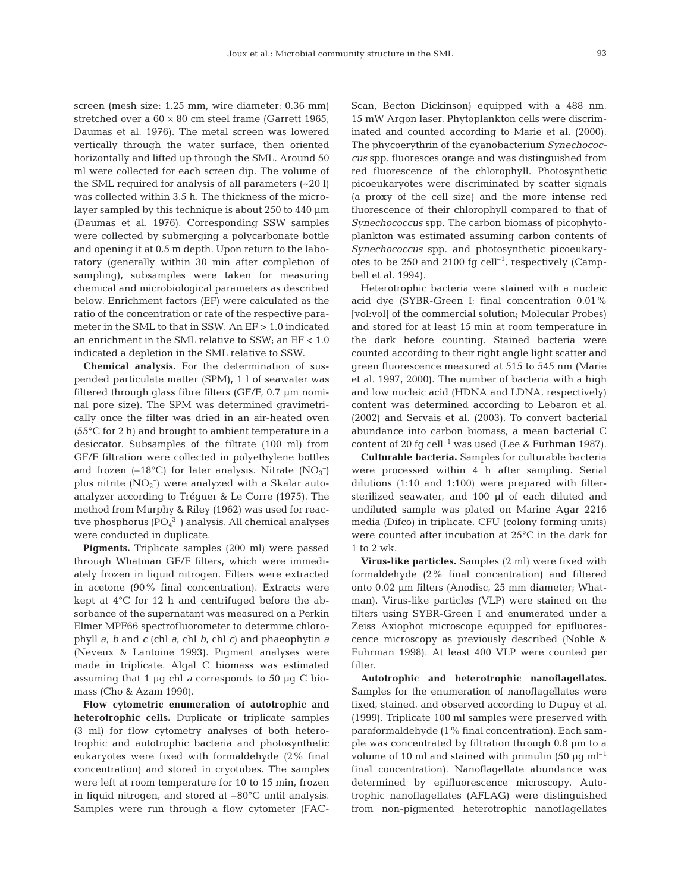screen (mesh size: 1.25 mm, wire diameter: 0.36 mm) stretched over a  $60 \times 80$  cm steel frame (Garrett 1965, Daumas et al. 1976). The metal screen was lowered vertically through the water surface, then oriented horizontally and lifted up through the SML. Around 50 ml were collected for each screen dip. The volume of the SML required for analysis of all parameters (~20 l) was collected within 3.5 h. The thickness of the microlayer sampled by this technique is about 250 to 440 µm (Daumas et al. 1976). Corresponding SSW samples were collected by submerging a polycarbonate bottle and opening it at 0.5 m depth. Upon return to the laboratory (generally within 30 min after completion of sampling), subsamples were taken for measuring chemical and microbiological parameters as described below. Enrichment factors (EF) were calculated as the ratio of the concentration or rate of the respective parameter in the SML to that in SSW. An EF > 1.0 indicated an enrichment in the SML relative to SSW; an EF < 1.0 indicated a depletion in the SML relative to SSW.

**Chemical analysis.** For the determination of suspended particulate matter (SPM), 1 l of seawater was filtered through glass fibre filters (GF/F, 0.7 µm nominal pore size). The SPM was determined gravimetrically once the filter was dried in an air-heated oven (55°C for 2 h) and brought to ambient temperature in a desiccator. Subsamples of the filtrate (100 ml) from GF/F filtration were collected in polyethylene bottles and frozen  $(-18^{\circ}C)$  for later analysis. Nitrate  $(NO<sub>3</sub><sup>-</sup>)$ plus nitrite (NO<sub>2</sub><sup>-</sup>) were analyzed with a Skalar autoanalyzer according to Tréguer & Le Corre (1975). The method from Murphy & Riley (1962) was used for reactive phosphorus  $(PO<sub>4</sub><sup>3-</sup>)$  analysis. All chemical analyses were conducted in duplicate.

**Pigments.** Triplicate samples (200 ml) were passed through Whatman GF/F filters, which were immediately frozen in liquid nitrogen. Filters were extracted in acetone (90% final concentration). Extracts were kept at 4°C for 12 h and centrifuged before the absorbance of the supernatant was measured on a Perkin Elmer MPF66 spectrofluorometer to determine chlorophyll *a, b* and *c* (chl *a*, chl *b*, chl *c*) and phaeophytin *a* (Neveux & Lantoine 1993). Pigment analyses were made in triplicate. Algal C biomass was estimated assuming that 1 µg chl *a* corresponds to 50 µg C biomass (Cho & Azam 1990).

**Flow cytometric enumeration of autotrophic and heterotrophic cells.** Duplicate or triplicate samples (3 ml) for flow cytometry analyses of both heterotrophic and autotrophic bacteria and photosynthetic eukaryotes were fixed with formaldehyde (2% final concentration) and stored in cryotubes. The samples were left at room temperature for 10 to 15 min, frozen in liquid nitrogen, and stored at –80°C until analysis. Samples were run through a flow cytometer (FAC-

Scan, Becton Dickinson) equipped with a 488 nm, 15 mW Argon laser. Phytoplankton cells were discriminated and counted according to Marie et al. (2000). The phycoerythrin of the cyanobacterium *Synechococcus* spp. fluoresces orange and was distinguished from red fluorescence of the chlorophyll. Photosynthetic picoeukaryotes were discriminated by scatter signals (a proxy of the cell size) and the more intense red fluorescence of their chlorophyll compared to that of *Synechococcus* spp. The carbon biomass of picophytoplankton was estimated assuming carbon contents of *Synechococcus* spp. and photosynthetic picoeukaryotes to be 250 and 2100 fg cell<sup>-1</sup>, respectively (Campbell et al. 1994).

Heterotrophic bacteria were stained with a nucleic acid dye (SYBR-Green I; final concentration 0.01% [vol:vol] of the commercial solution; Molecular Probes) and stored for at least 15 min at room temperature in the dark before counting. Stained bacteria were counted according to their right angle light scatter and green fluorescence measured at 515 to 545 nm (Marie et al. 1997, 2000). The number of bacteria with a high and low nucleic acid (HDNA and LDNA, respectively) content was determined according to Lebaron et al. (2002) and Servais et al. (2003). To convert bacterial abundance into carbon biomass, a mean bacterial C content of 20 fg cell<sup>-1</sup> was used (Lee & Furhman 1987).

**Culturable bacteria.** Samples for culturable bacteria were processed within 4 h after sampling. Serial dilutions (1:10 and 1:100) were prepared with filtersterilized seawater, and 100 µl of each diluted and undiluted sample was plated on Marine Agar 2216 media (Difco) in triplicate. CFU (colony forming units) were counted after incubation at 25°C in the dark for 1 to 2 wk.

**Virus-like particles.** Samples (2 ml) were fixed with formaldehyde (2% final concentration) and filtered onto 0.02 µm filters (Anodisc, 25 mm diameter; Whatman). Virus-like particles (VLP) were stained on the filters using SYBR-Green I and enumerated under a Zeiss Axiophot microscope equipped for epifluorescence microscopy as previously described (Noble & Fuhrman 1998). At least 400 VLP were counted per filter.

**Autotrophic and heterotrophic nanoflagellates.** Samples for the enumeration of nanoflagellates were fixed, stained, and observed according to Dupuy et al. (1999). Triplicate 100 ml samples were preserved with paraformaldehyde (1% final concentration). Each sample was concentrated by filtration through 0.8 µm to a volume of 10 ml and stained with primulin (50  $\mu$ g ml<sup>-1</sup> final concentration). Nanoflagellate abundance was determined by epifluorescence microscopy. Autotrophic nanoflagellates (AFLAG) were distinguished from non-pigmented heterotrophic nanoflagellates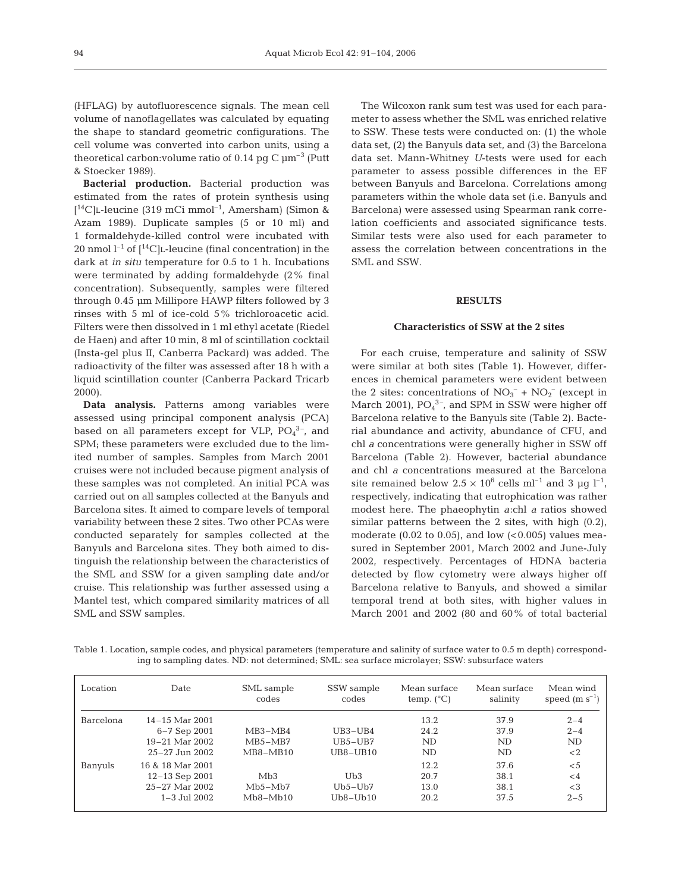(HFLAG) by autofluorescence signals. The mean cell volume of nanoflagellates was calculated by equating the shape to standard geometric configurations. The cell volume was converted into carbon units, using a theoretical carbon: volume ratio of 0.14 pg C  $\mu$ m<sup>-3</sup> (Putt & Stoecker 1989).

**Bacterial production.** Bacterial production was estimated from the rates of protein synthesis using [ 14C]L-leucine (319 mCi mmol–1, Amersham) (Simon & Azam 1989). Duplicate samples (5 or 10 ml) and 1 formaldehyde-killed control were incubated with 20 nmol  $l^{-1}$  of  $l^{14}C$ ]L-leucine (final concentration) in the dark at *in situ* temperature for 0.5 to 1 h. Incubations were terminated by adding formaldehyde (2% final concentration). Subsequently, samples were filtered through 0.45 µm Millipore HAWP filters followed by 3 rinses with 5 ml of ice-cold 5% trichloroacetic acid. Filters were then dissolved in 1 ml ethyl acetate (Riedel de Haen) and after 10 min, 8 ml of scintillation cocktail (Insta-gel plus II, Canberra Packard) was added. The radioactivity of the filter was assessed after 18 h with a liquid scintillation counter (Canberra Packard Tricarb 2000).

**Data analysis.** Patterns among variables were assessed using principal component analysis (PCA) based on all parameters except for VLP,  $PO_4^3$ <sup>-</sup>, and SPM; these parameters were excluded due to the limited number of samples. Samples from March 2001 cruises were not included because pigment analysis of these samples was not completed. An initial PCA was carried out on all samples collected at the Banyuls and Barcelona sites. It aimed to compare levels of temporal variability between these 2 sites. Two other PCAs were conducted separately for samples collected at the Banyuls and Barcelona sites. They both aimed to distinguish the relationship between the characteristics of the SML and SSW for a given sampling date and/or cruise. This relationship was further assessed using a Mantel test, which compared similarity matrices of all SML and SSW samples.

The Wilcoxon rank sum test was used for each parameter to assess whether the SML was enriched relative to SSW. These tests were conducted on: (1) the whole data set, (2) the Banyuls data set, and (3) the Barcelona data set. Mann-Whitney *U*-tests were used for each parameter to assess possible differences in the EF between Banyuls and Barcelona. Correlations among parameters within the whole data set (i.e. Banyuls and Barcelona) were assessed using Spearman rank correlation coefficients and associated significance tests. Similar tests were also used for each parameter to assess the correlation between concentrations in the SML and SSW.

## **RESULTS**

#### **Characteristics of SSW at the 2 sites**

For each cruise, temperature and salinity of SSW were similar at both sites (Table 1). However, differences in chemical parameters were evident between the 2 sites: concentrations of  $NO_3^- + NO_2^-$  (except in March 2001),  $PO_4^{3-}$ , and SPM in SSW were higher off Barcelona relative to the Banyuls site (Table 2). Bacterial abundance and activity, abundance of CFU, and chl *a* concentrations were generally higher in SSW off Barcelona (Table 2). However, bacterial abundance and chl *a* concentrations measured at the Barcelona site remained below  $2.5 \times 10^6$  cells ml<sup>-1</sup> and 3 µq l<sup>-1</sup>, respectively, indicating that eutrophication was rather modest here. The phaeophytin *a*:chl *a* ratios showed similar patterns between the 2 sites, with high (0.2), moderate (0.02 to 0.05), and low  $( $0.005$ )$  values measured in September 2001, March 2002 and June-July 2002, respectively. Percentages of HDNA bacteria detected by flow cytometry were always higher off Barcelona relative to Banyuls, and showed a similar temporal trend at both sites, with higher values in March 2001 and 2002 (80 and 60% of total bacterial

Table 1. Location, sample codes, and physical parameters (temperature and salinity of surface water to 0.5 m depth) corresponding to sampling dates. ND: not determined; SML: sea surface microlayer; SSW: subsurface waters

| Location  | Date               | SML sample<br>codes | SSW sample<br>codes | Mean surface<br>temp. $(^{\circ}C)$ | Mean surface<br>salinity | Mean wind<br>speed $(m s^{-1})$ |
|-----------|--------------------|---------------------|---------------------|-------------------------------------|--------------------------|---------------------------------|
| Barcelona | $14 - 15$ Mar 2001 |                     |                     | 13.2                                | 37.9                     | $2 - 4$                         |
|           | $6 - 7$ Sep 2001   | $MB3-MB4$           | $UB3-UB4$           | 24.2                                | 37.9                     | $2 - 4$                         |
|           | $19-21$ Mar 2002   | $MB5-MB7$           | UB5-UB7             | <b>ND</b>                           | ND                       | ND.                             |
|           | $25 - 27$ Jun 2002 | $MB8-MB10$          | $UB8-UB10$          | ND                                  | ND                       | $<$ 2                           |
| Banyuls   | 16 & 18 Mar 2001   |                     |                     | 12.2                                | 37.6                     | $\leq 5$                        |
|           | $12 - 13$ Sep 2001 | Mb3                 | Ub3                 | 20.7                                | 38.1                     | $\leq 4$                        |
|           | $25-27$ Mar $2002$ | $Mb5-Mb7$           | $Ub5-Ub7$           | 13.0                                | 38.1                     | $<$ 3                           |
|           | $1 - 3$ Jul 2002   | $Mb8-Mb10$          | $Ub8-Ub10$          | 20.2                                | 37.5                     | $2 - 5$                         |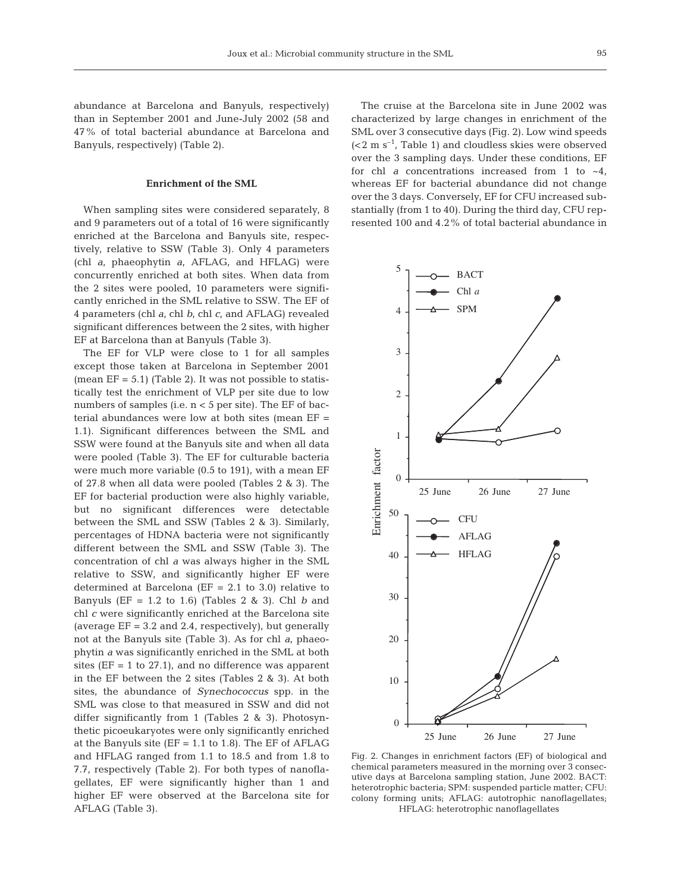abundance at Barcelona and Banyuls, respectively) than in September 2001 and June-July 2002 (58 and 47% of total bacterial abundance at Barcelona and Banyuls, respectively) (Table 2).

#### **Enrichment of the SML**

When sampling sites were considered separately, 8 and 9 parameters out of a total of 16 were significantly enriched at the Barcelona and Banyuls site, respectively, relative to SSW (Table 3). Only 4 parameters (chl *a*, phaeophytin *a*, AFLAG, and HFLAG) were concurrently enriched at both sites. When data from the 2 sites were pooled, 10 parameters were significantly enriched in the SML relative to SSW. The EF of 4 parameters (chl *a*, chl *b*, chl *c*, and AFLAG) revealed significant differences between the 2 sites, with higher EF at Barcelona than at Banyuls (Table 3).

The EF for VLP were close to 1 for all samples except those taken at Barcelona in September 2001 (mean  $EF = 5.1$ ) (Table 2). It was not possible to statistically test the enrichment of VLP per site due to low numbers of samples (i.e. n < 5 per site). The EF of bacterial abundances were low at both sites (mean EF = 1.1). Significant differences between the SML and SSW were found at the Banyuls site and when all data were pooled (Table 3). The EF for culturable bacteria were much more variable (0.5 to 191), with a mean EF of 27.8 when all data were pooled (Tables 2 & 3). The EF for bacterial production were also highly variable, but no significant differences were detectable between the SML and SSW (Tables 2 & 3). Similarly, percentages of HDNA bacteria were not significantly different between the SML and SSW (Table 3). The concentration of chl *a* was always higher in the SML relative to SSW, and significantly higher EF were determined at Barcelona ( $EF = 2.1$  to 3.0) relative to Banyuls (EF = 1.2 to 1.6) (Tables 2 & 3). Chl *b* and chl *c* were significantly enriched at the Barcelona site (average  $EF = 3.2$  and 2.4, respectively), but generally not at the Banyuls site (Table 3). As for chl *a*, phaeophytin *a* was significantly enriched in the SML at both sites ( $EF = 1$  to 27.1), and no difference was apparent in the EF between the 2 sites (Tables 2 & 3). At both sites, the abundance of *Synechococcus* spp. in the SML was close to that measured in SSW and did not differ significantly from 1 (Tables 2 & 3). Photosynthetic picoeukaryotes were only significantly enriched at the Banyuls site ( $EF = 1.1$  to 1.8). The  $EF$  of  $AFLAG$ and HFLAG ranged from 1.1 to 18.5 and from 1.8 to 7.7, respectively (Table 2). For both types of nanoflagellates, EF were significantly higher than 1 and higher EF were observed at the Barcelona site for AFLAG (Table 3).

The cruise at the Barcelona site in June 2002 was characterized by large changes in enrichment of the SML over 3 consecutive days (Fig. 2). Low wind speeds  $( $2 \, \text{m s}^{-1}$ , Table 1) and clouds skies were observed$ over the 3 sampling days. Under these conditions, EF for chl  $a$  concentrations increased from 1 to  $\sim$ 4, whereas EF for bacterial abundance did not change over the 3 days. Conversely, EF for CFU increased substantially (from 1 to 40). During the third day, CFU represented 100 and 4.2% of total bacterial abundance in



Fig. 2. Changes in enrichment factors (EF) of biological and chemical parameters measured in the morning over 3 consecutive days at Barcelona sampling station, June 2002. BACT: heterotrophic bacteria; SPM: suspended particle matter; CFU: colony forming units; AFLAG: autotrophic nanoflagellates; HFLAG: heterotrophic nanoflagellates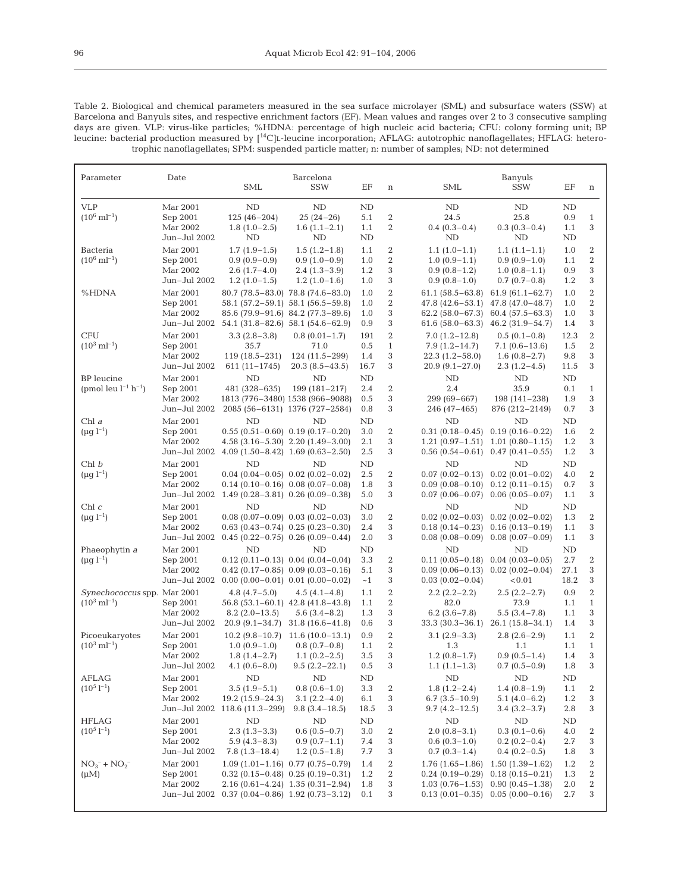Table 2. Biological and chemical parameters measured in the sea surface microlayer (SML) and subsurface waters (SSW) at Barcelona and Banyuls sites, and respective enrichment factors (EF). Mean values and ranges over 2 to 3 consecutive sampling days are given. VLP: virus-like particles; %HDNA: percentage of high nucleic acid bacteria; CFU: colony forming unit; BP leucine: bacterial production measured by [14C]L-leucine incorporation; AFLAG: autotrophic nanoflagellates; HFLAG: heterotrophic nanoflagellates; SPM: suspended particle matter; n: number of samples; ND: not determined

| Parameter                                               | Date                                             | <b>SML</b>                                                           | Barcelona<br><b>SSW</b>                                                                                                                                               | EF                        | $\,$ n                                         | SML                                                                                    | Banyuls<br><b>SSW</b>                                                                     | EF                         | n                                              |
|---------------------------------------------------------|--------------------------------------------------|----------------------------------------------------------------------|-----------------------------------------------------------------------------------------------------------------------------------------------------------------------|---------------------------|------------------------------------------------|----------------------------------------------------------------------------------------|-------------------------------------------------------------------------------------------|----------------------------|------------------------------------------------|
| <b>VLP</b><br>$(10^6 \text{ ml}^{-1})$                  | Mar 2001<br>Sep 2001<br>Mar 2002<br>Jun-Jul 2002 | ND<br>$125(46-204)$<br>$1.8(1.0-2.5)$<br>ND                          | ND<br>$25(24-26)$<br>$1.6(1.1-2.1)$<br>ND                                                                                                                             | ND<br>5.1<br>1.1<br>ND    | $\boldsymbol{2}$<br>$\overline{2}$             | ND<br>24.5<br>$0.4(0.3-0.4)$<br>ND                                                     | ND<br>25.8<br>$0.3(0.3-0.4)$<br>ND                                                        | ND<br>0.9<br>1.1<br>ND     | $\mathbf{1}$<br>3                              |
| Bacteria<br>$(10^6 \text{ ml}^{-1})$                    | Mar 2001<br>Sep 2001<br>Mar 2002<br>Jun-Jul 2002 | $1.7(1.9-1.5)$<br>$0.9(0.9-0.9)$<br>$2.6(1.7-4.0)$<br>$1.2(1.0-1.5)$ | $1.5(1.2-1.8)$<br>$0.9(1.0-0.9)$<br>$2.4(1.3-3.9)$<br>$1.2(1.0-1.6)$                                                                                                  | 1.1<br>1.0<br>1.2<br>1.0  | $\boldsymbol{2}$<br>$\boldsymbol{2}$<br>3<br>3 | $1.1(1.0-1.1)$<br>$1.0(0.9-1.1)$<br>$0.9(0.8-1.2)$<br>$0.9(0.8-1.0)$                   | $1.1(1.1-1.1)$<br>$0.9(0.9-1.0)$<br>$1.0(0.8-1.1)$<br>$0.7(0.7-0.8)$                      | 1.0<br>1.1<br>0.9<br>1.2   | 2<br>$\boldsymbol{2}$<br>3<br>3                |
| %HDNA                                                   | Mar 2001<br>Sep 2001<br>Mar 2002                 | Jun-Jul 2002 54.1 (31.8-82.6) 58.1 (54.6-62.9)                       | 80.7 (78.5–83.0) 78.8 (74.6–83.0)<br>58.1 (57.2–59.1) 58.1 (56.5–59.8)<br>85.6 (79.9–91.6) 84.2 (77.3–89.6)                                                           | 1.0<br>1.0<br>1.0<br>0.9  | 2<br>$\boldsymbol{2}$<br>3<br>3                | $61.1(58.5 - 63.8)$<br>$47.8(42.6 - 53.1)$<br>$62.2(58.0-67.3)$<br>$61.6(58.0 - 63.3)$ | $61.9(61.1 - 62.7)$<br>47.8 (47.0-48.7)<br>$60.4(57.5-63.3)$<br>$46.2(31.9-54.7)$         | 1.0<br>1.0<br>1.0<br>1.4   | $\overline{2}$<br>$\boldsymbol{2}$<br>3<br>3   |
| <b>CFU</b><br>$(10^3 \text{ ml}^{-1})$                  | Mar 2001<br>Sep 2001<br>Mar 2002<br>Jun-Jul 2002 | $3.3(2.8-3.8)$<br>35.7<br>$119(18.5-231)$<br>$611(11-1745)$          | $0.8(0.01-1.7)$<br>71.0<br>$124(11.5-299)$<br>$20.3(8.5-43.5)$                                                                                                        | 191<br>0.5<br>1.4<br>16.7 | 2<br>$\mathbf{1}$<br>3<br>3                    | $7.0(1.2-12.8)$<br>$7.9(1.2 - 14.7)$<br>$22.3(1.2 - 58.0)$<br>$20.9(9.1-27.0)$         | $0.5(0.1-0.8)$<br>$7.1(0.6-13.6)$<br>$1.6(0.8-2.7)$<br>$2.3(1.2 - 4.5)$                   | 12.3<br>1.5<br>9.8<br>11.5 | $\boldsymbol{2}$<br>$\boldsymbol{2}$<br>3<br>3 |
| BP leucine<br>(pmol leu $l^{-1}$ h <sup>-1</sup> )      | Mar 2001<br>Sep 2001<br>Mar 2002<br>Jun-Jul 2002 | ND<br>481 (328-635)                                                  | ND<br>199 (181-217)<br>1813 (776-3480) 1538 (966-9088)<br>2085 (56-6131) 1376 (727-2584)                                                                              | ND<br>2.4<br>0.5<br>0.8   | $\boldsymbol{2}$<br>3<br>3                     | ND<br>2.4<br>299 (69-667)<br>246 (47–465)                                              | ND<br>35.9<br>198 (141-238)<br>876 (212-2149)                                             | ND<br>0.1<br>1.9<br>0.7    | $\mathbf{1}$<br>3<br>3                         |
| Chl $a$<br>$(\mu q l^{-1})$                             | Mar 2001<br>Sep 2001<br>Mar 2002<br>Jun-Jul 2002 | ND                                                                   | <b>ND</b><br>$0.55(0.51-0.60)$ $0.19(0.17-0.20)$<br>$4.58$ $(3.16 - 5.30)$ $2.20$ $(1.49 - 3.00)$<br>$4.09(1.50 - 8.42)$ 1.69 $(0.63 - 2.50)$                         | ND<br>3.0<br>2.1<br>2.5   | 2<br>3<br>3                                    | ND<br>$0.31(0.18 - 0.45)$<br>$1.21(0.97-1.51)$<br>$0.56(0.54-0.61)$                    | ND<br>$0.19(0.16 - 0.22)$<br>$1.01(0.80 - 1.15)$<br>$0.47(0.41 - 0.55)$                   | ND<br>1.6<br>1.2<br>1.2    | $\overline{2}$<br>3<br>3                       |
| Chl b<br>$(\mu q l^{-1})$                               | Mar 2001<br>Sep 2001<br>Mar 2002<br>Jun-Jul 2002 | ND                                                                   | ND<br>$0.04$ (0.04 - 0.05) 0.02 (0.02 - 0.02)<br>$0.14$ (0.10-0.16) 0.08 (0.07-0.08)<br>$1.49(0.28-3.81)$ 0.26 (0.09-0.38)                                            | ND<br>2.5<br>1.8<br>5.0   | $\boldsymbol{2}$<br>3<br>3                     | ND<br>$0.07(0.02 - 0.13)$<br>$0.09(0.08-0.10)$<br>$0.07(0.06 - 0.07)$                  | ND<br>$0.02(0.01 - 0.02)$<br>$0.12(0.11 - 0.15)$<br>$0.06(0.05-0.07)$                     | ND<br>4.0<br>0.7<br>1.1    | $\boldsymbol{2}$<br>3<br>3                     |
| Chl c<br>$(\mu q l^{-1})$                               | Mar 2001<br>Sep 2001<br>Mar 2002<br>Jun-Jul 2002 | <b>ND</b>                                                            | ND<br>$0.08$ (0.07-0.09) 0.03 (0.02-0.03)<br>$0.63$ $(0.43 - 0.74)$ $0.25$ $(0.23 - 0.30)$<br>$0.45(0.22-0.75)$ 0.26 $(0.09-0.44)$                                    | ND<br>3.0<br>2.4<br>2.0   | $\boldsymbol{2}$<br>3<br>3                     | ND<br>$0.02(0.02-0.03)$<br>$0.18(0.14 - 0.23)$<br>$0.08(0.08-0.09)$                    | ND<br>$0.02(0.02 - 0.02)$<br>$0.16(0.13-0.19)$<br>$0.08(0.07-0.09)$                       | ND<br>1.3<br>1.1<br>1.1    | $\boldsymbol{2}$<br>3<br>3                     |
| Phaeophytin a<br>$(\mu q l^{-1})$                       | Mar 2001<br>Sep 2001<br>Mar 2002                 | ND<br>Jun-Jul 2002 0.00 (0.00-0.01) 0.01 (0.00-0.02)                 | ND<br>$0.12$ (0.11-0.13) $0.04$ (0.04-0.04)<br>$0.42$ (0.17-0.85) $0.09$ (0.03-0.16)                                                                                  | ND<br>3.3<br>5.1<br>~1    | 2<br>3<br>3                                    | ND<br>$0.11(0.05-0.18)$<br>$0.09(0.06 - 0.13)$<br>$0.03(0.02-0.04)$                    | ND<br>$0.04(0.03-0.05)$<br>$0.02(0.02-0.04)$<br>< 0.01                                    | ND<br>2.7<br>27.1<br>18.2  | 2<br>3<br>3                                    |
| Synechococcus spp. Mar 2001<br>$(10^3 \text{ ml}^{-1})$ | Sep 2001<br>Mar 2002<br>Jun-Jul 2002             | $4.8(4.7-5.0)$<br>$8.2(2.0-13.5)$                                    | $4.5(4.1-4.8)$<br>56.8 (53.1-60.1) 42.8 (41.8-43.8)<br>$5.6(3.4-8.2)$<br>$20.9(9.1-34.7)$ 31.8 (16.6-41.8)                                                            | 1.1<br>1.1<br>1.3<br>0.6  | $\boldsymbol{2}$<br>2<br>3<br>3                | $2.2(2.2-2.2)$<br>82.0<br>$6.2(3.6 - 7.8)$                                             | $2.5(2.2 - 2.7)$<br>73.9<br>$5.5(3.4 - 7.8)$<br>$33.3 (30.3 - 36.1)$ $26.1 (15.8 - 34.1)$ | 0.9<br>1.1<br>1.1<br>1.4   | $\boldsymbol{2}$<br>$\mathbf{1}$<br>3<br>3     |
| Picoeukaryotes<br>$(10^3 \text{ ml}^{-1})$              | Mar 2001<br>Sep 2001<br>Mar 2002<br>Jun–Jul 2002 | $1.0(0.9-1.0)$<br>$1.8(1.4-2.7)$<br>$4.1(0.6-8.0)$                   | $10.2$ (9.8-10.7) 11.6 (10.0-13.1)<br>$0.8(0.7-0.8)$<br>$1.1(0.2 - 2.5)$<br>$9.5(2.2 - 22.1)$                                                                         | 0.9<br>1.1<br>3.5<br>0.5  | $\boldsymbol{2}$<br>$\overline{2}$<br>3<br>3   | $3.1(2.9-3.3)$<br>1.3<br>$1.2(0.8-1.7)$<br>$1.1(1.1-1.3)$                              | $2.8(2.6-2.9)$<br>1.1<br>$0.9(0.5-1.4)$<br>$0.7(0.5-0.9)$                                 | 1.1<br>1.1<br>1.4<br>1.8   | $\boldsymbol{2}$<br>$\mathbf{1}$<br>3<br>3     |
| <b>AFLAG</b><br>$(10^5 1^{-1})$                         | Mar 2001<br>Sep 2001<br>Mar 2002<br>Jun-Jul 2002 | ND<br>$3.5(1.9-5.1)$<br>$19.2(15.9-24.3)$<br>$118.6(11.3-299)$       | ND<br>$0.8(0.6-1.0)$<br>$3.1(2.2 - 4.0)$<br>$9.8(3.4 - 18.5)$                                                                                                         | ND<br>3.3<br>6.1<br>18.5  | 2<br>3<br>3                                    | ND<br>$1.8(1.2 - 2.4)$<br>$6.7(3.5-10.9)$<br>$9.7(4.2 - 12.5)$                         | ND<br>$1.4(0.8-1.9)$<br>$5.1(4.0-6.2)$<br>$3.4(3.2-3.7)$                                  | ND<br>1.1<br>1.2<br>2.8    | 2<br>3<br>3                                    |
| <b>HFLAG</b><br>$(10^5 l^{-1})$                         | Mar 2001<br>Sep 2001<br>Mar 2002<br>Jun-Jul 2002 | ND<br>$2.3(1.3-3.3)$<br>$5.9(4.3-8.3)$<br>7.8 (1.3–18.4)             | ND<br>$0.6(0.5-0.7)$<br>$0.9(0.7-1.1)$<br>$1.2(0.5-1.8)$                                                                                                              | ND<br>3.0<br>7.4<br>7.7   | 2<br>3<br>3                                    | ND<br>$2.0(0.8-3.1)$<br>$0.6(0.3-1.0)$<br>$0.7(0.3-1.4)$                               | ND<br>$0.3(0.1-0.6)$<br>$0.2(0.2-0.4)$<br>$0.4(0.2-0.5)$                                  | ND<br>4.0<br>2.7<br>1.8    | 2<br>3<br>3                                    |
| $NO_3^- + NO_2^-$<br>$(\mu M)$                          | Mar 2001<br>Sep 2001<br>Mar 2002<br>Jun-Jul 2002 |                                                                      | $1.09(1.01-1.16)$ 0.77 $(0.75-0.79)$<br>$0.32$ (0.15 - 0.48) $0.25$ (0.19 - 0.31)<br>$2.16(0.61-4.24)$ 1.35 $(0.31-2.94)$<br>$0.37(0.04 - 0.86)$ 1.92 $(0.73 - 3.12)$ | 1.4<br>1.2<br>1.8<br>0.1  | 2<br>2<br>3<br>3                               | $1.76(1.65 - 1.86)$<br>$0.24(0.19-0.29)$<br>$1.03(0.76 - 1.53)$<br>$0.13(0.01-0.35)$   | $1.50(1.39-1.62)$<br>$0.18(0.15 - 0.21)$<br>$0.90(0.45 - 1.38)$<br>$0.05(0.00-0.16)$      | 1.2<br>1.3<br>2.0<br>2.7   | 2<br>2<br>2<br>3                               |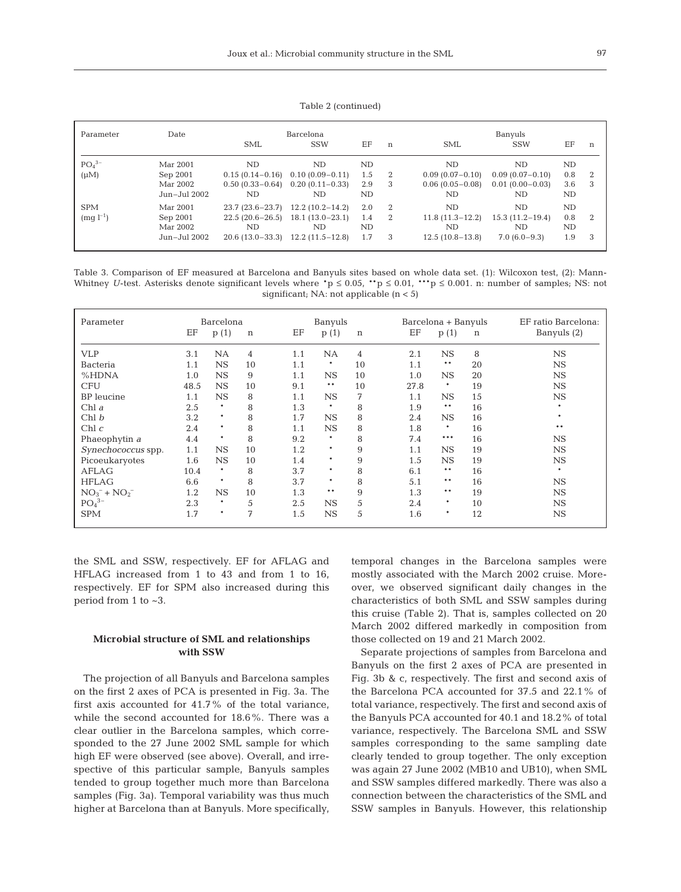Table 2 (continued)

| Parameter                   | Date                                             | <b>SML</b>                                                         | Barcelona<br><b>SSW</b>                                             | ΕF                      | n                                     | <b>SML</b>                                           | Banyuls<br><b>SSW</b>                               | ΕF                     | $\mathbf n$    |
|-----------------------------|--------------------------------------------------|--------------------------------------------------------------------|---------------------------------------------------------------------|-------------------------|---------------------------------------|------------------------------------------------------|-----------------------------------------------------|------------------------|----------------|
| $PO43-$<br>$(\mu M)$        | Mar 2001<br>Sep 2001                             | ND                                                                 | ND<br>$0.15(0.14-0.16)$ $0.10(0.09-0.11)$                           | ND<br>1.5               | $\overline{2}$                        | ND<br>$0.09(0.07-0.10)$                              | ND<br>$0.09(0.07-0.10)$                             | ND<br>0.8              | $\overline{2}$ |
|                             | Mar 2002<br>Jun-Jul 2002                         | ND.                                                                | $0.50(0.33-0.64)$ $0.20(0.11-0.33)$<br>ND.                          | 2.9<br>ND               | 3                                     | $0.06(0.05-0.08)$<br>ND.                             | $0.01(0.00 - 0.03)$<br>ND.                          | 3.6<br>ND              | 3              |
| <b>SPM</b><br>$(mq l^{-1})$ | Mar 2001<br>Sep 2001<br>Mar 2002<br>Jun-Jul 2002 | $23.7(23.6-23.7)$<br>$22.5(20.6-26.5)$<br>ND.<br>$20.6(13.0-33.3)$ | $12.2(10.2 - 14.2)$<br>$18.1(13.0-23.1)$<br>ND<br>$12.2(11.5-12.8)$ | 2.0<br>1.4<br>ND<br>1.7 | $\overline{2}$<br>$\overline{2}$<br>3 | ND.<br>$11.8(11.3-12.2)$<br>ND.<br>$12.5(10.8-13.8)$ | ND.<br>$15.3(11.2 - 19.4)$<br>ND.<br>$7.0(6.0-9.3)$ | ND<br>0.8<br>ND<br>1.9 | -2<br>3        |

Table 3. Comparison of EF measured at Barcelona and Banyuls sites based on whole data set. (1): Wilcoxon test, (2): Mann-Whitney *U*-test. Asterisks denote significant levels where  $\dot{p} \le 0.05$ ,  $\dot{p} \le 0.01$ ,  $\dot{p} \le 0.001$ . n: number of samples; NS: not significant; NA: not applicable (n < 5)

| Parameter          | Barcelona |             |    |     | Banyuls   |             |      | Barcelona + Banyuls |             | EF ratio Barcelona: |
|--------------------|-----------|-------------|----|-----|-----------|-------------|------|---------------------|-------------|---------------------|
|                    | ΕF        | p(1)        | n  | ΕF  | p(1)      | $\mathbf n$ | EF   | p(1)                | $\mathbf n$ | Banyuls (2)         |
| <b>VLP</b>         | 3.1       | <b>NA</b>   | 4  | 1.1 | <b>NA</b> | 4           | 2.1  | <b>NS</b>           | 8           | <b>NS</b>           |
| Bacteria           | 1.1       | <b>NS</b>   | 10 | 1.1 | *         | 10          | 1.1  | **                  | 20          | $_{\rm NS}$         |
| %HDNA              | 1.0       | $_{\rm NS}$ | 9  | 1.1 | <b>NS</b> | 10          | 1.0  | <b>NS</b>           | 20          | $_{\rm NS}$         |
| <b>CFU</b>         | 48.5      | $_{\rm NS}$ | 10 | 9.1 | $* *$     | 10          | 27.8 | $\ast$              | 19          | <b>NS</b>           |
| <b>BP</b> leucine  | 1.1       | <b>NS</b>   | 8  | 1.1 | <b>NS</b> | 7           | 1.1  | <b>NS</b>           | 15          | $_{\rm NS}$         |
| Chl a              | 2.5       | $\ast$      | 8  | 1.3 | $\ast$    | 8           | 1.9  | $* *$               | 16          | $\ast$              |
| Chl b              | 3.2       | $\ast$      | 8  | 1.7 | <b>NS</b> | 8           | 2.4  | <b>NS</b>           | 16          | $\ast$              |
| Chl c              | 2.4       | $\ast$      | 8  | 1.1 | <b>NS</b> | 8           | 1.8  | $\ast$              | 16          | $* *$               |
| Phaeophytin a      | 4.4       | $\ast$      | 8  | 9.2 | $\ast$    | 8           | 7.4  | ***                 | 16          | $_{\rm NS}$         |
| Synechococcus spp. | 1.1       | $_{\rm NS}$ | 10 | 1.2 | $\ast$    | 9           | 1.1  | <b>NS</b>           | 19          | $_{\rm NS}$         |
| Picoeukaryotes     | 1.6       | <b>NS</b>   | 10 | 1.4 | $\ast$    | 9           | 1.5  | <b>NS</b>           | 19          | $_{\rm NS}$         |
| <b>AFLAG</b>       | 10.4      | $\ast$      | 8  | 3.7 | $\ast$    | 8           | 6.1  | $***$               | 16          | $\ast$              |
| <b>HFLAG</b>       | 6.6       | $\ast$      | 8  | 3.7 | $\ast$    | 8           | 5.1  | $* *$               | 16          | $_{\rm NS}$         |
| $NO_3^- + NO_2^-$  | 1.2       | $_{\rm NS}$ | 10 | 1.3 | $* *$     | 9           | 1.3  | $* *$               | 19          | $_{\rm NS}$         |
| $PO43-$            | 2.3       | $\ast$      | 5  | 2.5 | <b>NS</b> | 5           | 2.4  | *                   | 10          | $_{\rm NS}$         |
| <b>SPM</b>         | 1.7       | $\ast$      | 7  | 1.5 | <b>NS</b> | 5           | 1.6  | $\ast$              | 12          | $_{\rm NS}$         |

the SML and SSW, respectively. EF for AFLAG and HFLAG increased from 1 to 43 and from 1 to 16, respectively. EF for SPM also increased during this period from 1 to ~3.

# **Microbial structure of SML and relationships with SSW**

The projection of all Banyuls and Barcelona samples on the first 2 axes of PCA is presented in Fig. 3a. The first axis accounted for 41.7% of the total variance, while the second accounted for 18.6%. There was a clear outlier in the Barcelona samples, which corresponded to the 27 June 2002 SML sample for which high EF were observed (see above). Overall, and irrespective of this particular sample, Banyuls samples tended to group together much more than Barcelona samples (Fig. 3a). Temporal variability was thus much higher at Barcelona than at Banyuls. More specifically,

temporal changes in the Barcelona samples were mostly associated with the March 2002 cruise. Moreover, we observed significant daily changes in the characteristics of both SML and SSW samples during this cruise (Table 2). That is, samples collected on 20 March 2002 differed markedly in composition from those collected on 19 and 21 March 2002.

Separate projections of samples from Barcelona and Banyuls on the first 2 axes of PCA are presented in Fig. 3b & c, respectively. The first and second axis of the Barcelona PCA accounted for 37.5 and 22.1% of total variance, respectively. The first and second axis of the Banyuls PCA accounted for 40.1 and 18.2% of total variance, respectively. The Barcelona SML and SSW samples corresponding to the same sampling date clearly tended to group together. The only exception was again 27 June 2002 (MB10 and UB10), when SML and SSW samples differed markedly. There was also a connection between the characteristics of the SML and SSW samples in Banyuls. However, this relationship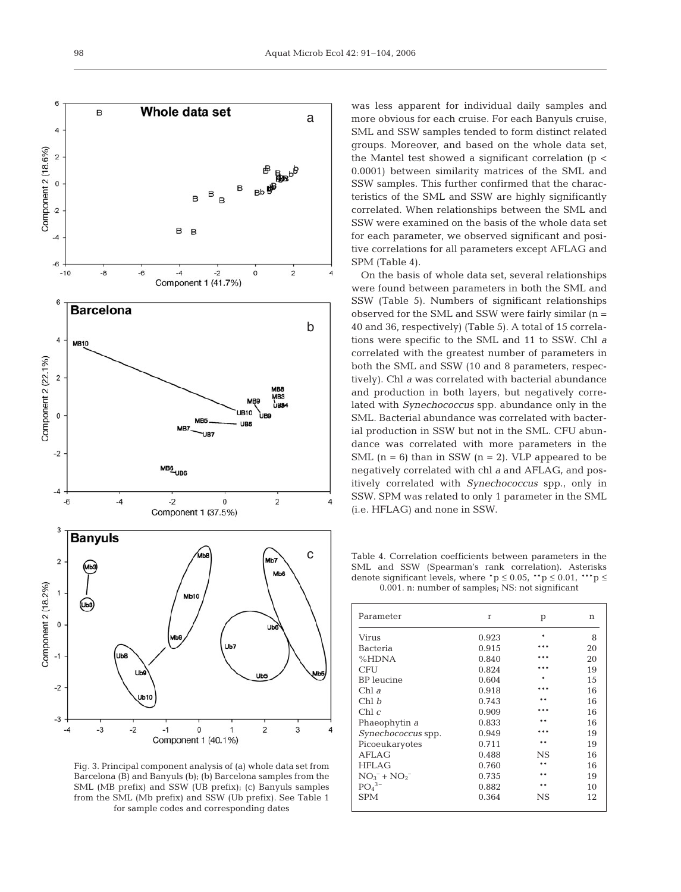

Fig. 3. Principal component analysis of (a) whole data set from Barcelona (B) and Banyuls (b); (b) Barcelona samples from the SML (MB prefix) and SSW (UB prefix); (c) Banyuls samples from the SML (Mb prefix) and SSW (Ub prefix). See Table 1 for sample codes and corresponding dates

was less apparent for individual daily samples and more obvious for each cruise. For each Banyuls cruise, SML and SSW samples tended to form distinct related groups. Moreover, and based on the whole data set, the Mantel test showed a significant correlation ( $p <$ 0.0001) between similarity matrices of the SML and SSW samples. This further confirmed that the characteristics of the SML and SSW are highly significantly correlated. When relationships between the SML and SSW were examined on the basis of the whole data set for each parameter, we observed significant and positive correlations for all parameters except AFLAG and SPM (Table 4).

On the basis of whole data set, several relationships were found between parameters in both the SML and SSW (Table 5). Numbers of significant relationships observed for the SML and SSW were fairly similar (n = 40 and 36, respectively) (Table 5). A total of 15 correlations were specific to the SML and 11 to SSW. Chl *a* correlated with the greatest number of parameters in both the SML and SSW (10 and 8 parameters, respectively). Chl *a* was correlated with bacterial abundance and production in both layers, but negatively correlated with *Synechococcus* spp. abundance only in the SML. Bacterial abundance was correlated with bacterial production in SSW but not in the SML. CFU abundance was correlated with more parameters in the SML  $(n = 6)$  than in SSW  $(n = 2)$ . VLP appeared to be negatively correlated with chl *a* and AFLAG, and positively correlated with *Synechococcus* spp., only in SSW. SPM was related to only 1 parameter in the SML (i.e. HFLAG) and none in SSW.

Table 4. Correlation coefficients between parameters in the SML and SSW (Spearman's rank correlation). Asterisks denote significant levels, where  $\text{*p} \leq 0.05$ ,  $\text{*p} \leq 0.01$ ,  $\text{**p} \leq$ 0.001. n: number of samples; NS: not significant

| Parameter                 | r     | p           | n  |
|---------------------------|-------|-------------|----|
| Virus                     | 0.923 | *           | 8  |
| <b>Bacteria</b>           | 0.915 |             | 20 |
| %HDNA                     | 0.840 |             | 20 |
| CFU                       | 0.824 |             | 19 |
| <b>BP</b> leucine         | 0.604 |             | 15 |
| Chl $a$                   | 0.918 |             | 16 |
| Chl b                     | 0.743 |             | 16 |
| Chl c                     | 0.909 |             | 16 |
| Phaeophytin a             | 0.833 |             | 16 |
| <i>Synechococcus</i> spp. | 0.949 | * * *       | 19 |
| Picoeukaryotes            | 0.711 | * *         | 19 |
| AFLAG                     | 0.488 | $_{\rm NS}$ | 16 |
| <b>HFLAG</b>              | 0.760 | * *         | 16 |
| $NO_3^- + NO_2^-$         | 0.735 |             | 19 |
| $PO43-$                   | 0.882 | * *         | 10 |
| <b>SPM</b>                | 0.364 | $_{\rm NS}$ | 12 |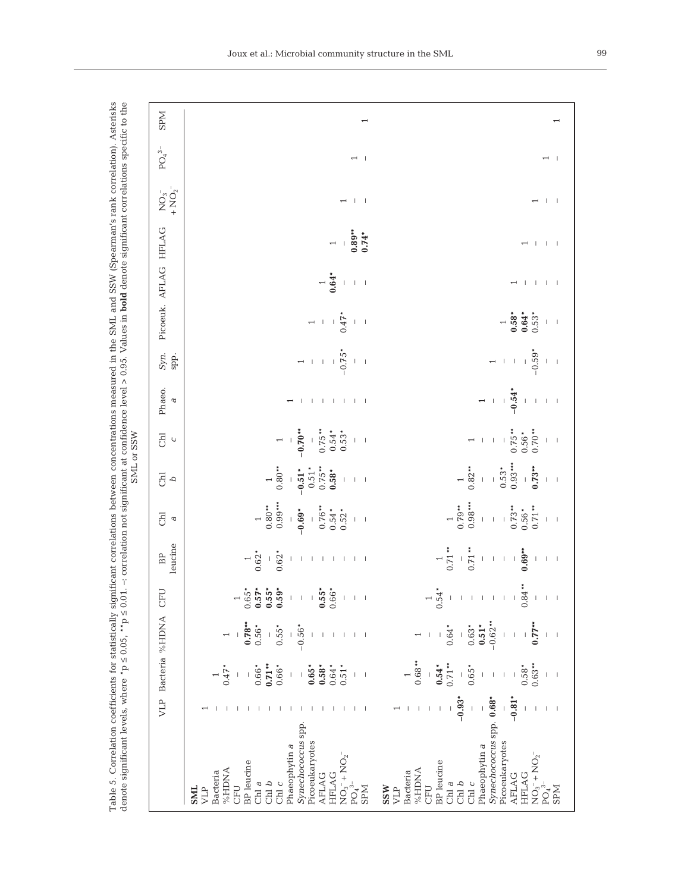| <b>NdS</b>                               |                                                                                                                                                                                                                                                                    |                                                                                                                                                                                                                                                                                                    |
|------------------------------------------|--------------------------------------------------------------------------------------------------------------------------------------------------------------------------------------------------------------------------------------------------------------------|----------------------------------------------------------------------------------------------------------------------------------------------------------------------------------------------------------------------------------------------------------------------------------------------------|
| $\mathrm{PO}_4^{~3-}$                    | $\overline{a}$                                                                                                                                                                                                                                                     | $\perp$<br>$\overline{\phantom{0}}$                                                                                                                                                                                                                                                                |
| $+NO2$ <sup>-</sup><br>$\mathrm{NO_3}^-$ | $\begin{array}{c c c c c} \hline \quad \  \  & \\\ \hline \quad \  \  & \\\ \hline \quad \  \  & \\\ \hline \end{array}$                                                                                                                                           | $\pm$ $\pm$<br>$\overline{\phantom{0}}$                                                                                                                                                                                                                                                            |
|                                          | $0.89**$<br>$0.74*$<br>$\perp$<br>$\overline{\phantom{0}}$                                                                                                                                                                                                         | $\pm$ $\pm$<br>$\mathbf{I}$<br>$\overline{\phantom{0}}$                                                                                                                                                                                                                                            |
|                                          | $\begin{array}{c} 1 \\ 0.64* \end{array}$<br>$\,$ $\,$<br>$-1-1$                                                                                                                                                                                                   | $1 - 1 - 1 - 1$<br>$\overline{ }$                                                                                                                                                                                                                                                                  |
| Picoeuk. AFLAG HFLAG                     | 0.47'<br>$\,$ l<br>$\mathsf I$<br>$\vert \ \ \vert$<br>$\overline{\phantom{0}}$                                                                                                                                                                                    | $\begin{array}{c} 1 \\ 0.58^* \\ 0.64^* \end{array}$<br>$0.53*$<br>$\mathbb{I}-\mathbb{I}$                                                                                                                                                                                                         |
| Syn.<br>spp.                             | $-0.75$<br>$\mathbf{I}% _{0}\left( \mathbf{I}_{1}\right)$<br>$\,$ $\,$<br>$\perp$ – $\perp$<br>$\perp$<br>$\overline{\phantom{0}}$                                                                                                                                 | $-0.59*$<br>$\mathbb{L}$<br>$\,$ $\,$<br>$\mathsf I$<br>$\mathcal{A}$<br>$\perp$<br>$\overline{ }$                                                                                                                                                                                                 |
| Phaeo.<br>$\mathbf{\tilde{c}}$           | 1 1 1 1 1 1 1<br>л.<br>$\overline{\phantom{0}}$                                                                                                                                                                                                                    | $-0.54*$<br>$\perp$<br>$\,$ $\,$<br>$\mathbf{1}=\mathbf{1}$<br>$\mathsf I$<br>$\perp$<br>$\overline{\phantom{0}}$                                                                                                                                                                                  |
| $\overline{c}$<br>$\mathsf{C}$           | $0.75**$<br>$-0.70**$<br>$0.54*$<br>$0.53*$<br>$\mathsf I$<br>$\blacksquare$<br>$\overline{ }$                                                                                                                                                                     | $0.75***$<br>$0.70**$<br>$0.56*$<br>$\,$ $\,$<br>$\vert$<br>$\blacksquare$<br>$\mathbf{I}$<br>$\perp$<br>$\overline{\phantom{0}}$                                                                                                                                                                  |
| FO<br>ρ                                  | $0.75***$<br>$1$<br>0.80 **<br>$0.51*$<br>$-0.51*$<br>$0.58*$<br>$\mathsf I$<br>$\mathbb{I}-\mathbb{I}$                                                                                                                                                            | $0.93***$<br>$0.82**$<br>$-$<br>0.73**<br>$0.53*$<br>$\frac{1}{2}$<br>$\bar{1}$<br>$\overline{\phantom{0}}$<br>$\mathsf I$<br>$\sim$ 1                                                                                                                                                             |
| <b>FRI</b><br>a                          | $0.99***$<br>$0.80**$<br>$0.76**$<br>$-0.69*$<br>$0.54*$<br>$0.52*$<br>$\overline{\phantom{0}}$<br>$\mathbf{1}=\mathbf{1}$                                                                                                                                         | $0.98***$<br>$0.79$ **<br>$0.73**$<br>$0.71**$<br>$0.56*$<br>$\bar{1}$<br>$\overline{a}$<br>$\,$ $\,$<br>$\vert - \vert$                                                                                                                                                                           |
| leucine<br>BP                            | $0.62*$<br>$\begin{array}{c} 1 \\ 0.62 \end{array}$<br>$\mid$<br>$\overline{\phantom{a}}$<br>$\mathbb{I}$<br>$1 - 1 - 1 - 1 - 1 - 1$                                                                                                                               | $\begin{smallmatrix}1\\1\\0.71\end{smallmatrix}$ .<br>$0.71**$<br>$0.69**$<br>$\,$ $\,$<br>$\mathsf I$<br>$\perp$<br>$\mathsf I$<br>$\, \vert \,$<br>$\mathsf I$<br>$\vert - \vert$                                                                                                                |
| CFU                                      | $1$<br>$0.65$<br>$0.55$<br>$0.56$<br>$0.59$<br>$0.59$<br>$-55*$<br>0.55*<br>$\perp$<br>$\mathbf{I}$<br>$\mathbf{I}$<br>$\perp$<br>$\mathbf{I}$                                                                                                                     | $0.84***$<br>$\begin{array}{c} 1 \\ 0.54 \end{array}$<br>$\mathbf{I}$<br>$\mathbf{I}$<br>$\perp$<br>$\mathbf{I}$<br>$\mathbf{I}$<br>$\mathbf{I}$<br>$\perp$                                                                                                                                        |
|                                          | $0.78***$<br>$0.56*$<br>$0.55*$<br>$-0.56*$<br>$\mathsf I$<br>$\mathsf I$<br>$\overline{\phantom{0}}$<br>$\overline{\phantom{a}}$<br>$\perp$<br>$\mathbf{1}$<br>$\Box$                                                                                             | $-0.62**$<br>$-$<br>$-$<br>$-$<br>$-$<br>0.77 **<br>$0.51*$<br>$0.63*$<br>$0.64*$<br>$\perp$<br>$\leftarrow$ $\leftarrow$<br>$\mathsf I$<br>$\overline{\phantom{a}}$                                                                                                                               |
| Bacteria %HDNA                           | $0.66*0.71**$<br>$0.47*$<br>$0.66*$<br>$0.65*$<br>$0.64*$<br>$0.51*$<br>$0.58*$<br>$\, \vert \,$<br>$\vert$<br>$\mathsf I$<br>$\mathsf I$<br>$\perp$ $\perp$                                                                                                       | $\begin{array}{c} 1 \\ 0.68*** \end{array}$<br>$0.71**$<br>$0.63**$<br>$0.54*$<br>$0.58*$<br>$-6.65*$<br>$\,$ $\,$<br>$\mathsf I$<br>$\mathsf I$<br>$\,$ $\,$<br>$\overline{\phantom{0}}$<br>$\overline{\phantom{a}}$                                                                              |
| VLP                                      | $\Box$<br>$\mathbf{I}$<br>$\perp$ $\perp$<br>т.<br>- 11<br>$\mathbf{I}$<br>$\mathbf{I}$<br>-1<br>-1<br>$\perp$<br>$\perp$<br>Ι.                                                                                                                                    | $-0.93*$<br>$-0.81*$<br>$\mathsf I$<br>$\bar{\rm I}$<br>$\mathsf I$<br>$\mathsf I$<br>$\overline{\phantom{a}}$<br>$\overline{\phantom{0}}$<br>$\pm$ $\pm$<br>$\begin{array}{c} \hline \end{array}$<br>$\overline{\phantom{a}}$<br>-1                                                               |
|                                          | Synechococcus spp<br>Picoeukaryotes<br>Phaeophytin a<br>$NO_3^- + NO_2^-$<br>PO <sub>4</sub> <sup>3-</sup><br><b>BP</b> leucine<br><b>ANGHY</b><br>Bacteria<br><b>HFLAG</b><br><b>AFLAG</b><br>Chl $b$<br>Chl $\it{c}$<br>Chl a<br><b>NdS</b><br>SML<br>CFU<br>VLP | Synechococcus spp. 0.68*<br>Picoeukaryotes<br>Phaeophytin a<br>$NO_3^- + NO_2^-$<br>PO <sub>4</sub> <sup>3-</sup><br><b>BP</b> leucine<br>%HDNA<br>Bacteria<br><b>HFLAG</b><br><b>AFLAG</b><br>$\operatorname{Chl} b$<br>$_{\rm Chl}$ $c$<br>Chl $\it a$<br>CFU<br><b>SSW</b><br><b>NdS</b><br>VLP |

Table 5. Correlation coefficients for statistically significant correlations between concentrations measured in the SML and SSW (Spearman's rank correlation). Asterisks Table 5. Correlation coefficients for statistically significant correlations between concentrations measured in the SML and SSW (Spearman's rank correlation). Asterisks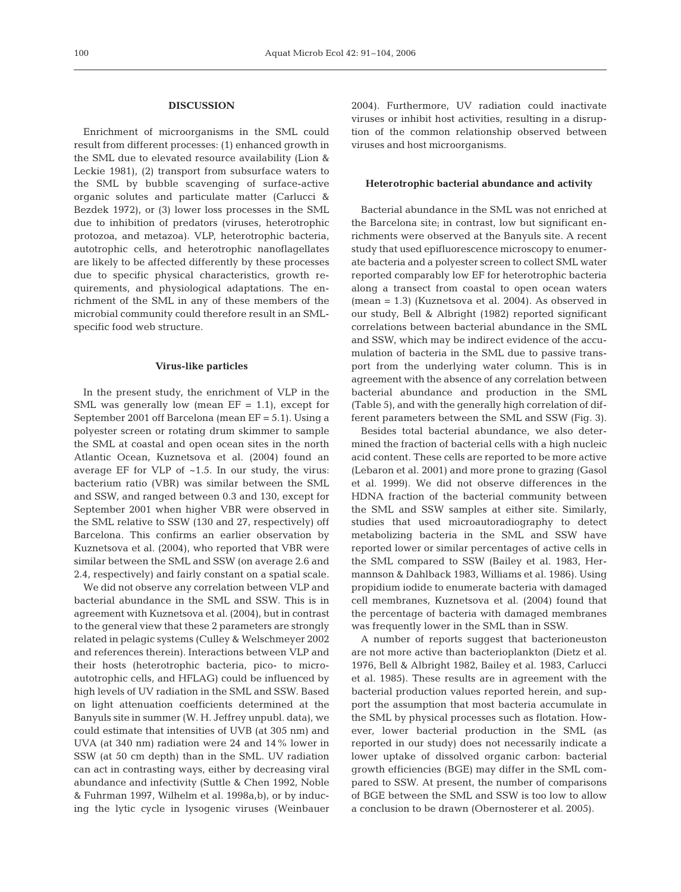#### **DISCUSSION**

Enrichment of microorganisms in the SML could result from different processes: (1) enhanced growth in the SML due to elevated resource availability (Lion & Leckie 1981), (2) transport from subsurface waters to the SML by bubble scavenging of surface-active organic solutes and particulate matter (Carlucci & Bezdek 1972), or (3) lower loss processes in the SML due to inhibition of predators (viruses, heterotrophic protozoa, and metazoa). VLP, heterotrophic bacteria, autotrophic cells, and heterotrophic nanoflagellates are likely to be affected differently by these processes due to specific physical characteristics, growth requirements, and physiological adaptations. The enrichment of the SML in any of these members of the microbial community could therefore result in an SMLspecific food web structure.

#### **Virus-like particles**

In the present study, the enrichment of VLP in the SML was generally low (mean  $EF = 1.1$ ), except for September 2001 off Barcelona (mean EF = 5.1). Using a polyester screen or rotating drum skimmer to sample the SML at coastal and open ocean sites in the north Atlantic Ocean, Kuznetsova et al. (2004) found an average EF for VLP of  $~1.5$ . In our study, the virus: bacterium ratio (VBR) was similar between the SML and SSW, and ranged between 0.3 and 130, except for September 2001 when higher VBR were observed in the SML relative to SSW (130 and 27, respectively) off Barcelona. This confirms an earlier observation by Kuznetsova et al. (2004), who reported that VBR were similar between the SML and SSW (on average 2.6 and 2.4, respectively) and fairly constant on a spatial scale.

We did not observe any correlation between VLP and bacterial abundance in the SML and SSW. This is in agreement with Kuznetsova et al. (2004), but in contrast to the general view that these 2 parameters are strongly related in pelagic systems (Culley & Welschmeyer 2002 and references therein). Interactions between VLP and their hosts (heterotrophic bacteria, pico- to microautotrophic cells, and HFLAG) could be influenced by high levels of UV radiation in the SML and SSW. Based on light attenuation coefficients determined at the Banyuls site in summer (W. H. Jeffrey unpubl. data), we could estimate that intensities of UVB (at 305 nm) and UVA (at 340 nm) radiation were 24 and 14% lower in SSW (at 50 cm depth) than in the SML. UV radiation can act in contrasting ways, either by decreasing viral abundance and infectivity (Suttle & Chen 1992, Noble & Fuhrman 1997, Wilhelm et al. 1998a,b), or by inducing the lytic cycle in lysogenic viruses (Weinbauer 2004). Furthermore, UV radiation could inactivate viruses or inhibit host activities, resulting in a disruption of the common relationship observed between viruses and host microorganisms.

### **Heterotrophic bacterial abundance and activity**

Bacterial abundance in the SML was not enriched at the Barcelona site; in contrast, low but significant enrichments were observed at the Banyuls site. A recent study that used epifluorescence microscopy to enumerate bacteria and a polyester screen to collect SML water reported comparably low EF for heterotrophic bacteria along a transect from coastal to open ocean waters (mean = 1.3) (Kuznetsova et al. 2004). As observed in our study, Bell & Albright (1982) reported significant correlations between bacterial abundance in the SML and SSW, which may be indirect evidence of the accumulation of bacteria in the SML due to passive transport from the underlying water column. This is in agreement with the absence of any correlation between bacterial abundance and production in the SML (Table 5), and with the generally high correlation of different parameters between the SML and SSW (Fig. 3).

Besides total bacterial abundance, we also determined the fraction of bacterial cells with a high nucleic acid content. These cells are reported to be more active (Lebaron et al. 2001) and more prone to grazing (Gasol et al. 1999). We did not observe differences in the HDNA fraction of the bacterial community between the SML and SSW samples at either site. Similarly, studies that used microautoradiography to detect metabolizing bacteria in the SML and SSW have reported lower or similar percentages of active cells in the SML compared to SSW (Bailey et al. 1983, Hermannson & Dahlback 1983, Williams et al. 1986). Using propidium iodide to enumerate bacteria with damaged cell membranes, Kuznetsova et al. (2004) found that the percentage of bacteria with damaged membranes was frequently lower in the SML than in SSW.

A number of reports suggest that bacterioneuston are not more active than bacterioplankton (Dietz et al. 1976, Bell & Albright 1982, Bailey et al. 1983, Carlucci et al. 1985). These results are in agreement with the bacterial production values reported herein, and support the assumption that most bacteria accumulate in the SML by physical processes such as flotation. However, lower bacterial production in the SML (as reported in our study) does not necessarily indicate a lower uptake of dissolved organic carbon: bacterial growth efficiencies (BGE) may differ in the SML compared to SSW. At present, the number of comparisons of BGE between the SML and SSW is too low to allow a conclusion to be drawn (Obernosterer et al. 2005).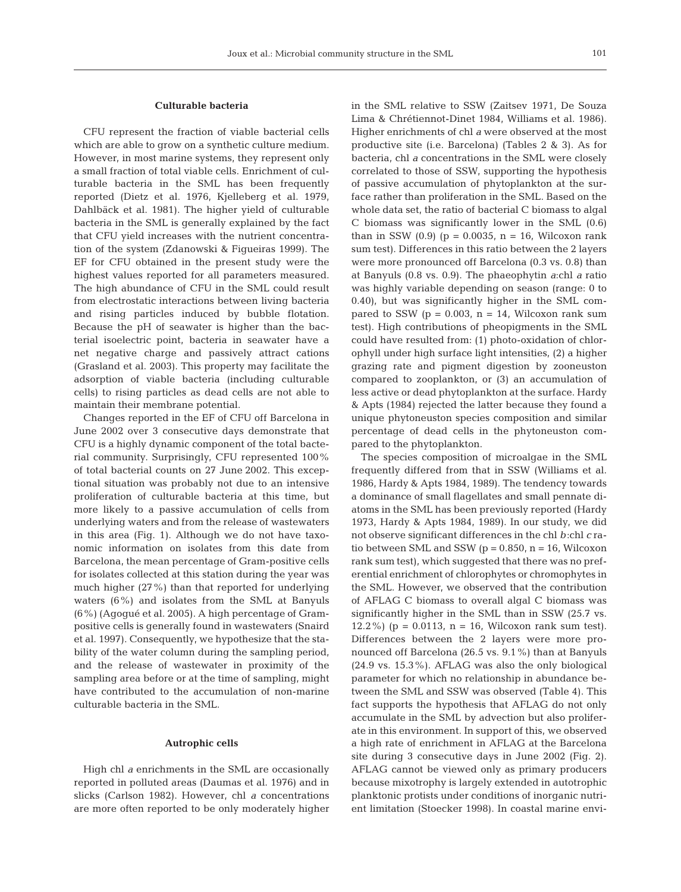# **Culturable bacteria**

CFU represent the fraction of viable bacterial cells which are able to grow on a synthetic culture medium. However, in most marine systems, they represent only a small fraction of total viable cells. Enrichment of culturable bacteria in the SML has been frequently reported (Dietz et al. 1976, Kjelleberg et al. 1979, Dahlbäck et al. 1981). The higher yield of culturable bacteria in the SML is generally explained by the fact that CFU yield increases with the nutrient concentration of the system (Zdanowski & Figueiras 1999). The EF for CFU obtained in the present study were the highest values reported for all parameters measured. The high abundance of CFU in the SML could result from electrostatic interactions between living bacteria and rising particles induced by bubble flotation. Because the pH of seawater is higher than the bacterial isoelectric point, bacteria in seawater have a net negative charge and passively attract cations (Grasland et al. 2003). This property may facilitate the adsorption of viable bacteria (including culturable cells) to rising particles as dead cells are not able to maintain their membrane potential.

Changes reported in the EF of CFU off Barcelona in June 2002 over 3 consecutive days demonstrate that CFU is a highly dynamic component of the total bacterial community. Surprisingly, CFU represented 100% of total bacterial counts on 27 June 2002. This exceptional situation was probably not due to an intensive proliferation of culturable bacteria at this time, but more likely to a passive accumulation of cells from underlying waters and from the release of wastewaters in this area (Fig. 1). Although we do not have taxonomic information on isolates from this date from Barcelona, the mean percentage of Gram-positive cells for isolates collected at this station during the year was much higher (27%) than that reported for underlying waters (6%) and isolates from the SML at Banyuls (6%) (Agogué et al. 2005). A high percentage of Grampositive cells is generally found in wastewaters (Snaird et al. 1997). Consequently, we hypothesize that the stability of the water column during the sampling period, and the release of wastewater in proximity of the sampling area before or at the time of sampling, might have contributed to the accumulation of non-marine culturable bacteria in the SML.

## **Autrophic cells**

High chl *a* enrichments in the SML are occasionally reported in polluted areas (Daumas et al. 1976) and in slicks (Carlson 1982). However, chl *a* concentrations are more often reported to be only moderately higher in the SML relative to SSW (Zaitsev 1971, De Souza Lima & Chrétiennot-Dinet 1984, Williams et al. 1986). Higher enrichments of chl *a* were observed at the most productive site (i.e. Barcelona) (Tables 2 & 3). As for bacteria, chl *a* concentrations in the SML were closely correlated to those of SSW, supporting the hypothesis of passive accumulation of phytoplankton at the surface rather than proliferation in the SML. Based on the whole data set, the ratio of bacterial C biomass to algal C biomass was significantly lower in the SML (0.6) than in SSW  $(0.9)$   $(p = 0.0035, n = 16, Wilcoxon rank)$ sum test). Differences in this ratio between the 2 layers were more pronounced off Barcelona (0.3 vs. 0.8) than at Banyuls (0.8 vs. 0.9). The phaeophytin *a*:chl *a* ratio was highly variable depending on season (range: 0 to 0.40), but was significantly higher in the SML compared to SSW ( $p = 0.003$ ,  $n = 14$ , Wilcoxon rank sum test). High contributions of pheopigments in the SML could have resulted from: (1) photo-oxidation of chlorophyll under high surface light intensities, (2) a higher grazing rate and pigment digestion by zooneuston compared to zooplankton, or (3) an accumulation of less active or dead phytoplankton at the surface. Hardy & Apts (1984) rejected the latter because they found a unique phytoneuston species composition and similar percentage of dead cells in the phytoneuston compared to the phytoplankton.

The species composition of microalgae in the SML frequently differed from that in SSW (Williams et al. 1986, Hardy & Apts 1984, 1989). The tendency towards a dominance of small flagellates and small pennate diatoms in the SML has been previously reported (Hardy 1973, Hardy & Apts 1984, 1989). In our study, we did not observe significant differences in the chl *b*:chl *c* ratio between SML and SSW ( $p = 0.850$ ,  $n = 16$ , Wilcoxon rank sum test), which suggested that there was no preferential enrichment of chlorophytes or chromophytes in the SML. However, we observed that the contribution of AFLAG C biomass to overall algal C biomass was significantly higher in the SML than in SSW (25.7 vs. 12.2%) ( $p = 0.0113$ ,  $n = 16$ , Wilcoxon rank sum test). Differences between the 2 layers were more pronounced off Barcelona (26.5 vs. 9.1%) than at Banyuls (24.9 vs. 15.3%). AFLAG was also the only biological parameter for which no relationship in abundance between the SML and SSW was observed (Table 4). This fact supports the hypothesis that AFLAG do not only accumulate in the SML by advection but also proliferate in this environment. In support of this, we observed a high rate of enrichment in AFLAG at the Barcelona site during 3 consecutive days in June 2002 (Fig. 2). AFLAG cannot be viewed only as primary producers because mixotrophy is largely extended in autotrophic planktonic protists under conditions of inorganic nutrient limitation (Stoecker 1998). In coastal marine envi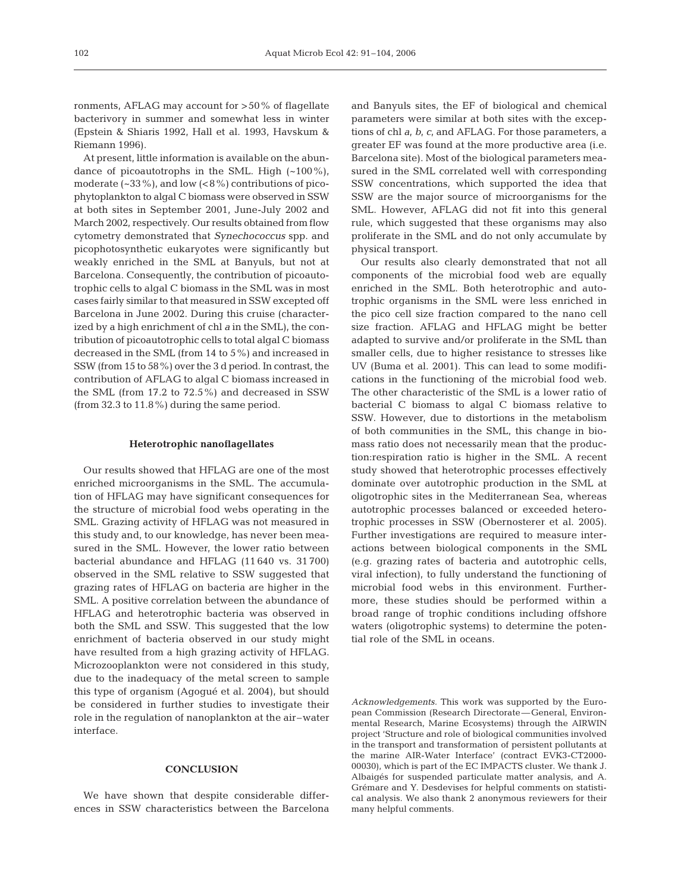ronments, AFLAG may account for >50% of flagellate bacterivory in summer and somewhat less in winter (Epstein & Shiaris 1992, Hall et al. 1993, Havskum & Riemann 1996).

At present, little information is available on the abundance of picoautotrophs in the SML. High  $(-100\%)$ , moderate  $(-33\%)$ , and low  $(<8\%)$  contributions of picophytoplankton to algal C biomass were observed in SSW at both sites in September 2001, June-July 2002 and March 2002, respectively. Our results obtained from flow cytometry demonstrated that *Synechococcus* spp. and picophotosynthetic eukaryotes were significantly but weakly enriched in the SML at Banyuls, but not at Barcelona. Consequently, the contribution of picoautotrophic cells to algal C biomass in the SML was in most cases fairly similar to that measured in SSW excepted off Barcelona in June 2002. During this cruise (characterized by a high enrichment of chl *a* in the SML), the contribution of picoautotrophic cells to total algal C biomass decreased in the SML (from 14 to 5%) and increased in SSW (from 15 to 58%) over the 3 d period. In contrast, the contribution of AFLAG to algal C biomass increased in the SML (from 17.2 to 72.5%) and decreased in SSW (from 32.3 to 11.8%) during the same period.

#### **Heterotrophic nanoflagellates**

Our results showed that HFLAG are one of the most enriched microorganisms in the SML. The accumulation of HFLAG may have significant consequences for the structure of microbial food webs operating in the SML. Grazing activity of HFLAG was not measured in this study and, to our knowledge, has never been measured in the SML. However, the lower ratio between bacterial abundance and HFLAG (11 640 vs. 31 700) observed in the SML relative to SSW suggested that grazing rates of HFLAG on bacteria are higher in the SML. A positive correlation between the abundance of HFLAG and heterotrophic bacteria was observed in both the SML and SSW. This suggested that the low enrichment of bacteria observed in our study might have resulted from a high grazing activity of HFLAG. Microzooplankton were not considered in this study, due to the inadequacy of the metal screen to sample this type of organism (Agogué et al. 2004), but should be considered in further studies to investigate their role in the regulation of nanoplankton at the air–water interface.

# **CONCLUSION**

We have shown that despite considerable differences in SSW characteristics between the Barcelona and Banyuls sites, the EF of biological and chemical parameters were similar at both sites with the exceptions of chl *a*, *b*, *c*, and AFLAG. For those parameters, a greater EF was found at the more productive area (i.e. Barcelona site). Most of the biological parameters measured in the SML correlated well with corresponding SSW concentrations, which supported the idea that SSW are the major source of microorganisms for the SML. However, AFLAG did not fit into this general rule, which suggested that these organisms may also proliferate in the SML and do not only accumulate by physical transport.

Our results also clearly demonstrated that not all components of the microbial food web are equally enriched in the SML. Both heterotrophic and autotrophic organisms in the SML were less enriched in the pico cell size fraction compared to the nano cell size fraction. AFLAG and HFLAG might be better adapted to survive and/or proliferate in the SML than smaller cells, due to higher resistance to stresses like UV (Buma et al. 2001). This can lead to some modifications in the functioning of the microbial food web. The other characteristic of the SML is a lower ratio of bacterial C biomass to algal C biomass relative to SSW. However, due to distortions in the metabolism of both communities in the SML, this change in biomass ratio does not necessarily mean that the production:respiration ratio is higher in the SML. A recent study showed that heterotrophic processes effectively dominate over autotrophic production in the SML at oligotrophic sites in the Mediterranean Sea, whereas autotrophic processes balanced or exceeded heterotrophic processes in SSW (Obernosterer et al. 2005). Further investigations are required to measure interactions between biological components in the SML (e.g. grazing rates of bacteria and autotrophic cells, viral infection), to fully understand the functioning of microbial food webs in this environment. Furthermore, these studies should be performed within a broad range of trophic conditions including offshore waters (oligotrophic systems) to determine the potential role of the SML in oceans.

*Acknowledgements.* This work was supported by the European Commission (Research Directorate—General, Environmental Research, Marine Ecosystems) through the AIRWIN project 'Structure and role of biological communities involved in the transport and transformation of persistent pollutants at the marine AIR-Water Interface' (contract EVK3-CT2000- 00030), which is part of the EC IMPACTS cluster. We thank J. Albaigés for suspended particulate matter analysis, and A. Grémare and Y. Desdevises for helpful comments on statistical analysis. We also thank 2 anonymous reviewers for their many helpful comments.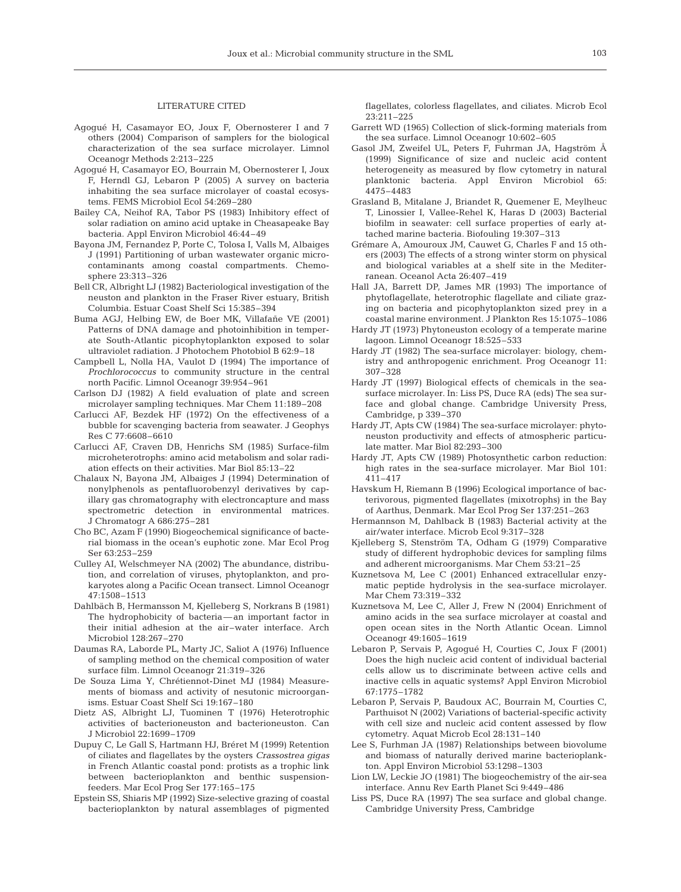# LITERATURE CITED

- Agogué H, Casamayor EO, Joux F, Obernosterer I and 7 others (2004) Comparison of samplers for the biological characterization of the sea surface microlayer. Limnol Oceanogr Methods 2:213–225
- Agogué H, Casamayor EO, Bourrain M, Obernosterer I, Joux F, Herndl GJ, Lebaron P (2005) A survey on bacteria inhabiting the sea surface microlayer of coastal ecosystems. FEMS Microbiol Ecol 54:269–280
- Bailey CA, Neihof RA, Tabor PS (1983) Inhibitory effect of solar radiation on amino acid uptake in Cheasapeake Bay bacteria. Appl Environ Microbiol 46:44–49
- Bayona JM, Fernandez P, Porte C, Tolosa I, Valls M, Albaiges J (1991) Partitioning of urban wastewater organic microcontaminants among coastal compartments. Chemosphere 23:313–326
- Bell CR, Albright LJ (1982) Bacteriological investigation of the neuston and plankton in the Fraser River estuary, British Columbia. Estuar Coast Shelf Sci 15:385–394
- Buma AGJ, Helbing EW, de Boer MK, Villafañe VE (2001) Patterns of DNA damage and photoinhibition in temperate South-Atlantic picophytoplankton exposed to solar ultraviolet radiation. J Photochem Photobiol B 62:9–18
- Campbell L, Nolla HA, Vaulot D (1994) The importance of *Prochlorococcus* to community structure in the central north Pacific. Limnol Oceanogr 39:954–961
- Carlson DJ (1982) A field evaluation of plate and screen microlayer sampling techniques. Mar Chem 11:189–208
- Carlucci AF, Bezdek HF (1972) On the effectiveness of a bubble for scavenging bacteria from seawater. J Geophys Res C 77:6608–6610
- Carlucci AF, Craven DB, Henrichs SM (1985) Surface-film microheterotrophs: amino acid metabolism and solar radiation effects on their activities. Mar Biol 85:13–22
- Chalaux N, Bayona JM, Albaiges J (1994) Determination of nonylphenols as pentafluorobenzyl derivatives by capillary gas chromatography with electroncapture and mass spectrometric detection in environmental matrices. J Chromatogr A 686:275–281
- Cho BC, Azam F (1990) Biogeochemical significance of bacterial biomass in the ocean's euphotic zone. Mar Ecol Prog Ser 63:253–259
- Culley AI, Welschmeyer NA (2002) The abundance, distribution, and correlation of viruses, phytoplankton, and prokaryotes along a Pacific Ocean transect. Limnol Oceanogr 47:1508–1513
- Dahlbäch B, Hermansson M, Kjelleberg S, Norkrans B (1981) The hydrophobicity of bacteria—an important factor in their initial adhesion at the air–water interface. Arch Microbiol 128:267–270
- Daumas RA, Laborde PL, Marty JC, Saliot A (1976) Influence of sampling method on the chemical composition of water surface film. Limnol Oceanogr 21:319–326
- De Souza Lima Y, Chrétiennot-Dinet MJ (1984) Measurements of biomass and activity of nesutonic microorganisms. Estuar Coast Shelf Sci 19:167–180
- Dietz AS, Albright LJ, Tuominen T (1976) Heterotrophic activities of bacterioneuston and bacterioneuston. Can J Microbiol 22:1699–1709
- Dupuy C, Le Gall S, Hartmann HJ, Bréret M (1999) Retention of ciliates and flagellates by the oysters *Crassostrea gigas* in French Atlantic coastal pond: protists as a trophic link between bacterioplankton and benthic suspensionfeeders. Mar Ecol Prog Ser 177:165–175
- Epstein SS, Shiaris MP (1992) Size-selective grazing of coastal bacterioplankton by natural assemblages of pigmented

flagellates, colorless flagellates, and ciliates. Microb Ecol 23:211–225

- Garrett WD (1965) Collection of slick-forming materials from the sea surface. Limnol Oceanogr 10:602–605
- Gasol JM, Zweifel UL, Peters F, Fuhrman JA, Hagström Å (1999) Significance of size and nucleic acid content heterogeneity as measured by flow cytometry in natural planktonic bacteria. Appl Environ Microbiol 65: 4475–4483
- Grasland B, Mitalane J, Briandet R, Quemener E, Meylheuc T, Linossier I, Vallee-Rehel K, Haras D (2003) Bacterial biofilm in seawater: cell surface properties of early attached marine bacteria. Biofouling 19:307–313
- Grémare A, Amouroux JM, Cauwet G, Charles F and 15 others (2003) The effects of a strong winter storm on physical and biological variables at a shelf site in the Mediterranean. Oceanol Acta 26:407–419
- Hall JA, Barrett DP, James MR (1993) The importance of phytoflagellate, heterotrophic flagellate and ciliate grazing on bacteria and picophytoplankton sized prey in a coastal marine environment. J Plankton Res 15:1075–1086
- Hardy JT (1973) Phytoneuston ecology of a temperate marine lagoon. Limnol Oceanogr 18:525–533
- Hardy JT (1982) The sea-surface microlayer: biology, chemistry and anthropogenic enrichment. Prog Oceanogr 11: 307–328
- Hardy JT (1997) Biological effects of chemicals in the seasurface microlayer. In: Liss PS, Duce RA (eds) The sea surface and global change. Cambridge University Press, Cambridge, p 339–370
- Hardy JT, Apts CW (1984) The sea-surface microlayer: phytoneuston productivity and effects of atmospheric particulate matter. Mar Biol 82:293–300
- Hardy JT, Apts CW (1989) Photosynthetic carbon reduction: high rates in the sea-surface microlayer. Mar Biol 101: 411–417
- Havskum H, Riemann B (1996) Ecological importance of bacterivorous, pigmented flagellates (mixotrophs) in the Bay of Aarthus, Denmark. Mar Ecol Prog Ser 137:251–263
- Hermannson M, Dahlback B (1983) Bacterial activity at the air/water interface. Microb Ecol 9:317–328
- Kjelleberg S, Stenström TA, Odham G (1979) Comparative study of different hydrophobic devices for sampling films and adherent microorganisms. Mar Chem 53:21–25
- Kuznetsova M, Lee C (2001) Enhanced extracellular enzymatic peptide hydrolysis in the sea-surface microlayer. Mar Chem 73:319–332
- Kuznetsova M, Lee C, Aller J, Frew N (2004) Enrichment of amino acids in the sea surface microlayer at coastal and open ocean sites in the North Atlantic Ocean. Limnol Oceanogr 49:1605–1619
- Lebaron P, Servais P, Agogué H, Courties C, Joux F (2001) Does the high nucleic acid content of individual bacterial cells allow us to discriminate between active cells and inactive cells in aquatic systems? Appl Environ Microbiol 67:1775–1782
- Lebaron P, Servais P, Baudoux AC, Bourrain M, Courties C, Parthuisot N (2002) Variations of bacterial-specific activity with cell size and nucleic acid content assessed by flow cytometry. Aquat Microb Ecol 28:131–140
- Lee S, Furhman JA (1987) Relationships between biovolume and biomass of naturally derived marine bacterioplankton. Appl Environ Microbiol 53:1298–1303
- Lion LW, Leckie JO (1981) The biogeochemistry of the air-sea interface. Annu Rev Earth Planet Sci 9:449–486
- Liss PS, Duce RA (1997) The sea surface and global change. Cambridge University Press, Cambridge